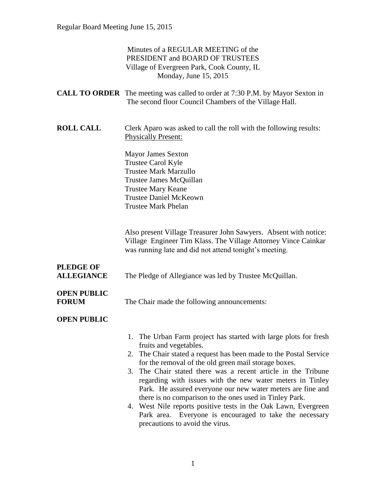|                                       | Minutes of a REGULAR MEETING of the<br>PRESIDENT and BOARD OF TRUSTEES<br>Village of Evergreen Park, Cook County, IL<br>Monday, June 15, 2015                                                                                                                                                                                                                                                                                                                                                                                                                                                                                                      |
|---------------------------------------|----------------------------------------------------------------------------------------------------------------------------------------------------------------------------------------------------------------------------------------------------------------------------------------------------------------------------------------------------------------------------------------------------------------------------------------------------------------------------------------------------------------------------------------------------------------------------------------------------------------------------------------------------|
|                                       | <b>CALL TO ORDER</b> The meeting was called to order at 7:30 P.M. by Mayor Sexton in<br>The second floor Council Chambers of the Village Hall.                                                                                                                                                                                                                                                                                                                                                                                                                                                                                                     |
| <b>ROLL CALL</b>                      | Clerk Aparo was asked to call the roll with the following results:<br><b>Physically Present:</b>                                                                                                                                                                                                                                                                                                                                                                                                                                                                                                                                                   |
|                                       | <b>Mayor James Sexton</b><br>Trustee Carol Kyle<br><b>Trustee Mark Marzullo</b><br>Trustee James McQuillan<br><b>Trustee Mary Keane</b><br><b>Trustee Daniel McKeown</b><br><b>Trustee Mark Phelan</b>                                                                                                                                                                                                                                                                                                                                                                                                                                             |
|                                       | Also present Village Treasurer John Sawyers. Absent with notice:<br>Village Engineer Tim Klass. The Village Attorney Vince Cainkar<br>was running late and did not attend tonight's meeting.                                                                                                                                                                                                                                                                                                                                                                                                                                                       |
| <b>PLEDGE OF</b><br><b>ALLEGIANCE</b> | The Pledge of Allegiance was led by Trustee McQuillan.                                                                                                                                                                                                                                                                                                                                                                                                                                                                                                                                                                                             |
| <b>OPEN PUBLIC</b><br><b>FORUM</b>    | The Chair made the following announcements:                                                                                                                                                                                                                                                                                                                                                                                                                                                                                                                                                                                                        |
| <b>OPEN PUBLIC</b>                    |                                                                                                                                                                                                                                                                                                                                                                                                                                                                                                                                                                                                                                                    |
|                                       | 1. The Urban Farm project has started with large plots for fresh<br>fruits and vegetables.<br>2. The Chair stated a request has been made to the Postal Service<br>for the removal of the old green mail storage boxes.<br>3. The Chair stated there was a recent article in the Tribune<br>regarding with issues with the new water meters in Tinley<br>Park. He assured everyone our new water meters are fine and<br>there is no comparison to the ones used in Tinley Park.<br>4. West Nile reports positive tests in the Oak Lawn, Evergreen<br>Everyone is encouraged to take the necessary<br>Park area.<br>precautions to avoid the virus. |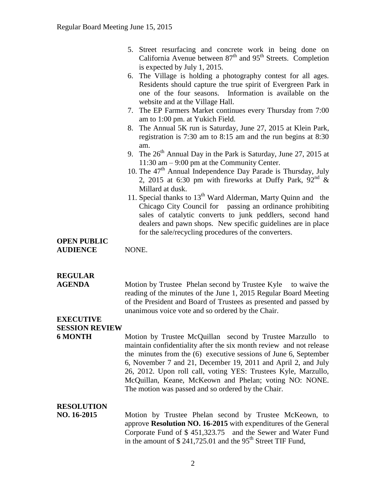- 5. Street resurfacing and concrete work in being done on California Avenue between  $87<sup>th</sup>$  and  $95<sup>th</sup>$  Streets. Completion is expected by July 1, 2015.
- 6. The Village is holding a photography contest for all ages. Residents should capture the true spirit of Evergreen Park in one of the four seasons. Information is available on the website and at the Village Hall.
- 7. The EP Farmers Market continues every Thursday from 7:00 am to 1:00 pm. at Yukich Field.
- 8. The Annual 5K run is Saturday, June 27, 2015 at Klein Park, registration is 7:30 am to 8:15 am and the run begins at 8:30 am.
- 9. The 26<sup>th</sup> Annual Day in the Park is Saturday, June 27, 2015 at 11:30 am – 9:00 pm at the Community Center.
- 10. The 47<sup>th</sup> Annual Independence Day Parade is Thursday, July 2, 2015 at 6:30 pm with fireworks at Duffy Park,  $92<sup>nd</sup>$  & Millard at dusk.
- 11. Special thanks to  $13<sup>th</sup>$  Ward Alderman, Marty Quinn and the Chicago City Council for passing an ordinance prohibiting sales of catalytic converts to junk peddlers, second hand dealers and pawn shops. New specific guidelines are in place for the sale/recycling procedures of the converters.

### **OPEN PUBLIC AUDIENCE** NONE.

## **REGULAR**

**AGENDA** Motion by Trustee Phelan second by Trustee Kyle to waive the reading of the minutes of the June 1, 2015 Regular Board Meeting of the President and Board of Trustees as presented and passed by unanimous voice vote and so ordered by the Chair.

### **EXECUTIVE SESSION REVIEW**

**6 MONTH** Motion by Trustee McQuillan second by Trustee Marzullo to maintain confidentiality after the six month review and not release the minutes from the (6) executive sessions of June 6, September 6, November 7 and 21, December 19, 2011 and April 2, and July 26, 2012. Upon roll call, voting YES: Trustees Kyle, Marzullo, McQuillan, Keane, McKeown and Phelan; voting NO: NONE. The motion was passed and so ordered by the Chair.

### **RESOLUTION**

**NO. 16-2015** Motion by Trustee Phelan second by Trustee McKeown, to approve **Resolution NO. 16-2015** with expenditures of the General Corporate Fund of \$ 451,323.75 and the Sewer and Water Fund in the amount of  $$ 241,725.01$  and the 95<sup>th</sup> Street TIF Fund,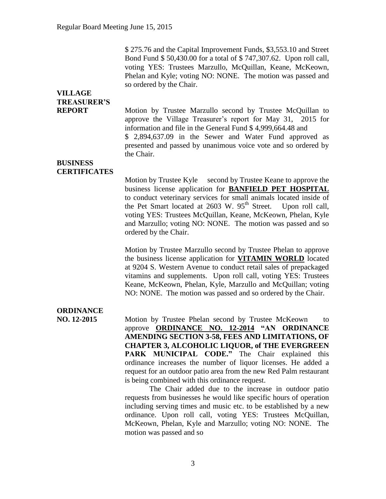\$ 275.76 and the Capital Improvement Funds, \$3,553.10 and Street Bond Fund \$ 50,430.00 for a total of \$ 747,307.62. Upon roll call, voting YES: Trustees Marzullo, McQuillan, Keane, McKeown, Phelan and Kyle; voting NO: NONE. The motion was passed and so ordered by the Chair.

# **VILLAGE TREASURER'S**

**REPORT** Motion by Trustee Marzullo second by Trustee McQuillan to approve the Village Treasurer's report for May 31, 2015 for information and file in the General Fund \$ 4,999,664.48 and \$ 2,894,637.09 in the Sewer and Water Fund approved as presented and passed by unanimous voice vote and so ordered by the Chair.

### **BUSINESS CERTIFICATES**

Motion by Trustee Kyle second by Trustee Keane to approve the business license application for **BANFIELD PET HOSPITAL**  to conduct veterinary services for small animals located inside of the Pet Smart located at 2603 W. 95<sup>th</sup> Street. Upon roll call, voting YES: Trustees McQuillan, Keane, McKeown, Phelan, Kyle and Marzullo; voting NO: NONE. The motion was passed and so ordered by the Chair.

Motion by Trustee Marzullo second by Trustee Phelan to approve the business license application for **VITAMIN WORLD** located at 9204 S. Western Avenue to conduct retail sales of prepackaged vitamins and supplements. Upon roll call, voting YES: Trustees Keane, McKeown, Phelan, Kyle, Marzullo and McQuillan; voting NO: NONE. The motion was passed and so ordered by the Chair.

# **ORDINANCE**

**NO. 12-2015** Motion by Trustee Phelan second by Trustee McKeown to approve **ORDINANCE NO. 12-2014 "AN ORDINANCE AMENDING SECTION 3-58, FEES AND LIMITATIONS, OF CHAPTER 3, ALCOHOLIC LIQUOR, of THE EVERGREEN PARK MUNICIPAL CODE."** The Chair explained this ordinance increases the number of liquor licenses. He added a request for an outdoor patio area from the new Red Palm restaurant is being combined with this ordinance request.

> The Chair added due to the increase in outdoor patio requests from businesses he would like specific hours of operation including serving times and music etc. to be established by a new ordinance. Upon roll call, voting YES: Trustees McQuillan, McKeown, Phelan, Kyle and Marzullo; voting NO: NONE. The motion was passed and so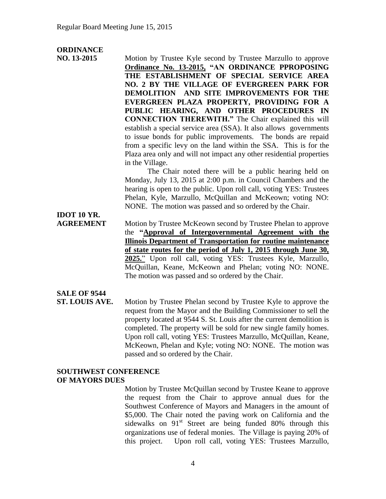### **ORDINANCE**

| NO. 13-2015 | Motion by Trustee Kyle second by Trustee Marzullo to approve         |
|-------------|----------------------------------------------------------------------|
|             | Ordinance No. 13-2015, "AN ORDINANCE PPROPOSING                      |
|             | THE ESTABLISHMENT OF SPECIAL SERVICE AREA                            |
|             | NO. 2 BY THE VILLAGE OF EVERGREEN PARK FOR                           |
|             | DEMOLITION AND SITE IMPROVEMENTS FOR THE                             |
|             | EVERGREEN PLAZA PROPERTY, PROVIDING FOR A                            |
|             | PUBLIC HEARING, AND OTHER PROCEDURES IN                              |
|             | <b>CONNECTION THEREWITH.</b> " The Chair explained this will         |
|             | establish a special service area (SSA). It also allows governments   |
|             | to issue bonds for public improvements. The bonds are repaid         |
|             | from a specific levy on the land within the SSA. This is for the     |
|             | Plaza area only and will not impact any other residential properties |
|             | in the Village.                                                      |
|             | The Chair noted there will be a public hearing held on               |
|             | Monday, July 13, 2015 at 2:00 p.m. in Council Chambers and the       |
|             | hearing is open to the public. Upon roll call, voting YES: Trustees  |
|             | Phelan, Kyle, Marzullo, McQuillan and McKeown; voting NO:            |
|             | NONE. The motion was passed and so ordered by the Chair.             |

**IDOT 10 YR.**

**AGREEMENT** Motion by Trustee McKeown second by Trustee Phelan to approve the **"Approval of Intergovernmental Agreement with the Illinois Department of Transportation for routine maintenance of state routes for the period of July 1, 2015 through June 30, 2025.**" Upon roll call, voting YES: Trustees Kyle, Marzullo, McQuillan, Keane, McKeown and Phelan; voting NO: NONE. The motion was passed and so ordered by the Chair.

# **SALE OF 9544**

**ST. LOUIS AVE.** Motion by Trustee Phelan second by Trustee Kyle to approve the request from the Mayor and the Building Commissioner to sell the property located at 9544 S. St. Louis after the current demolition is completed. The property will be sold for new single family homes. Upon roll call, voting YES: Trustees Marzullo, McQuillan, Keane, McKeown, Phelan and Kyle; voting NO: NONE. The motion was passed and so ordered by the Chair.

### **SOUTHWEST CONFERENCE OF MAYORS DUES**

Motion by Trustee McQuillan second by Trustee Keane to approve the request from the Chair to approve annual dues for the Southwest Conference of Mayors and Managers in the amount of \$5,000. The Chair noted the paving work on California and the sidewalks on  $91<sup>st</sup>$  Street are being funded 80% through this organizations use of federal monies. The Village is paying 20% of this project. Upon roll call, voting YES: Trustees Marzullo,